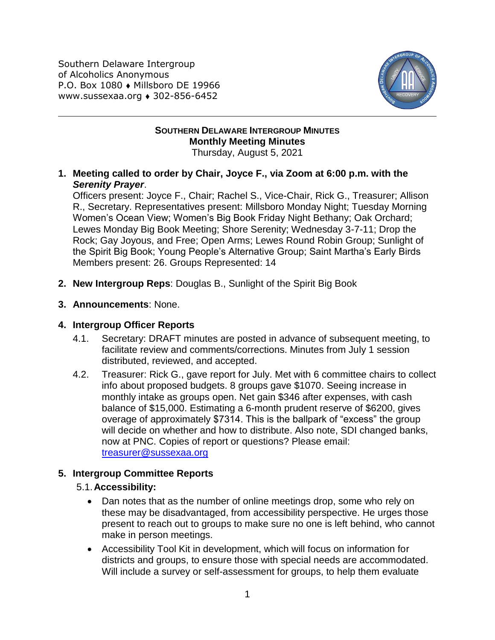Southern Delaware Intergroup of Alcoholics Anonymous P.O. Box 1080 • Millsboro DE 19966 www.sussexaa.org 302-856-6452



#### **SOUTHERN DELAWARE INTERGROUP MINUTES Monthly Meeting Minutes** Thursday, August 5, 2021

**1. Meeting called to order by Chair, Joyce F., via Zoom at 6:00 p.m. with the**  *Serenity Prayer*.

Officers present: Joyce F., Chair; Rachel S., Vice-Chair, Rick G., Treasurer; Allison R., Secretary. Representatives present: Millsboro Monday Night; Tuesday Morning Women's Ocean View; Women's Big Book Friday Night Bethany; Oak Orchard; Lewes Monday Big Book Meeting; Shore Serenity; Wednesday 3-7-11; Drop the Rock; Gay Joyous, and Free; Open Arms; Lewes Round Robin Group; Sunlight of the Spirit Big Book; Young People's Alternative Group; Saint Martha's Early Birds Members present: 26. Groups Represented: 14

- **2. New Intergroup Reps**: Douglas B., Sunlight of the Spirit Big Book
- **3. Announcements**: None.

### **4. Intergroup Officer Reports**

- 4.1. Secretary: DRAFT minutes are posted in advance of subsequent meeting, to facilitate review and comments/corrections. Minutes from July 1 session distributed, reviewed, and accepted.
- 4.2. Treasurer: Rick G., gave report for July. Met with 6 committee chairs to collect info about proposed budgets. 8 groups gave \$1070. Seeing increase in monthly intake as groups open. Net gain \$346 after expenses, with cash balance of \$15,000. Estimating a 6-month prudent reserve of \$6200, gives overage of approximately \$7314. This is the ballpark of "excess" the group will decide on whether and how to distribute. Also note, SDI changed banks, now at PNC. Copies of report or questions? Please email: [treasurer@sussexaa.org](mailto:treasurer@sussexaa.org)

# **5. Intergroup Committee Reports**

# 5.1.**Accessibility:**

- Dan notes that as the number of online meetings drop, some who rely on these may be disadvantaged, from accessibility perspective. He urges those present to reach out to groups to make sure no one is left behind, who cannot make in person meetings.
- Accessibility Tool Kit in development, which will focus on information for districts and groups, to ensure those with special needs are accommodated. Will include a survey or self-assessment for groups, to help them evaluate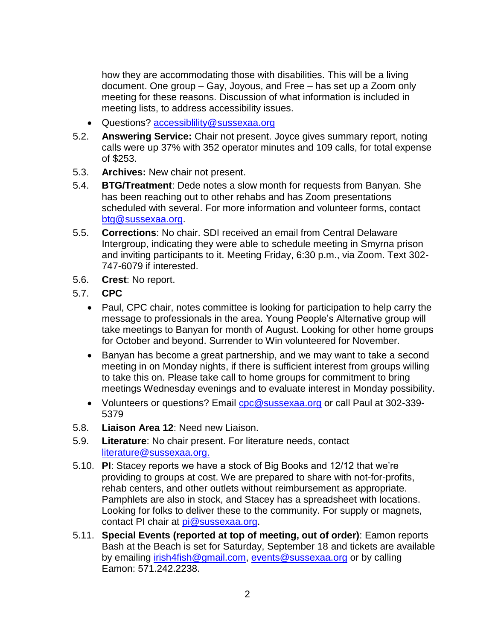how they are accommodating those with disabilities. This will be a living document. One group – Gay, Joyous, and Free – has set up a Zoom only meeting for these reasons. Discussion of what information is included in meeting lists, to address accessibility issues.

- Questions? [accessiblility@sussexaa.org](mailto:accessiblility@sussexaa.org)
- 5.2. **Answering Service:** Chair not present. Joyce gives summary report, noting calls were up 37% with 352 operator minutes and 109 calls, for total expense of \$253.
- 5.3. **Archives:** New chair not present.
- 5.4. **BTG/Treatment**: Dede notes a slow month for requests from Banyan. She has been reaching out to other rehabs and has Zoom presentations scheduled with several. For more information and volunteer forms, contact [btg@sussexaa.org.](mailto:btg@sussexaa.org)
- 5.5. **Corrections**: No chair. SDI received an email from Central Delaware Intergroup, indicating they were able to schedule meeting in Smyrna prison and inviting participants to it. Meeting Friday, 6:30 p.m., via Zoom. Text 302- 747-6079 if interested.
- 5.6. **Crest**: No report.
- 5.7. **CPC**
	- Paul, CPC chair, notes committee is looking for participation to help carry the message to professionals in the area. Young People's Alternative group will take meetings to Banyan for month of August. Looking for other home groups for October and beyond. Surrender to Win volunteered for November.
	- Banyan has become a great partnership, and we may want to take a second meeting in on Monday nights, if there is sufficient interest from groups willing to take this on. Please take call to home groups for commitment to bring meetings Wednesday evenings and to evaluate interest in Monday possibility.
	- Volunteers or questions? Email [cpc@sussexaa.org](mailto:cpc@sussexaa.org) or call Paul at 302-339-5379
- 5.8. **Liaison Area 12**: Need new Liaison.
- 5.9. **Literature**: No chair present. For literature needs, contact [literature@sussexaa.org.](mailto:literature@sussexaa.org.)
- 5.10. **PI**: Stacey reports we have a stock of Big Books and 12/12 that we're providing to groups at cost. We are prepared to share with not-for-profits, rehab centers, and other outlets without reimbursement as appropriate. Pamphlets are also in stock, and Stacey has a spreadsheet with locations. Looking for folks to deliver these to the community. For supply or magnets, contact PI chair at [pi@sussexaa.org.](mailto:pi@sussexaa.org)
- 5.11. **Special Events (reported at top of meeting, out of order)**: Eamon reports Bash at the Beach is set for Saturday, September 18 and tickets are available by emailing [irish4fish@gmail.com,](mailto:irish4fish@gmail.com) [events@sussexaa.org](mailto:events@sussexaa.org) or by calling Eamon: 571.242.2238.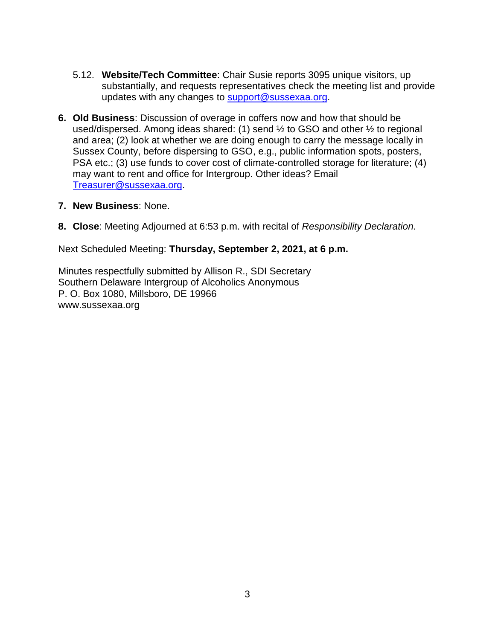- 5.12. **Website/Tech Committee**: Chair Susie reports 3095 unique visitors, up substantially, and requests representatives check the meeting list and provide updates with any changes to [support@sussexaa.org.](mailto:support@sussexaa.org)
- **6. Old Business**: Discussion of overage in coffers now and how that should be used/dispersed. Among ideas shared: (1) send  $\frac{1}{2}$  to GSO and other  $\frac{1}{2}$  to regional and area; (2) look at whether we are doing enough to carry the message locally in Sussex County, before dispersing to GSO, e.g., public information spots, posters, PSA etc.; (3) use funds to cover cost of climate-controlled storage for literature; (4) may want to rent and office for Intergroup. Other ideas? Email [Treasurer@sussexaa.org.](mailto:Treasurer@sussexaa.org)
- **7. New Business**: None.
- **8. Close**: Meeting Adjourned at 6:53 p.m. with recital of *Responsibility Declaration.*

Next Scheduled Meeting: **Thursday, September 2, 2021, at 6 p.m.**

Minutes respectfully submitted by Allison R., SDI Secretary Southern Delaware Intergroup of Alcoholics Anonymous P. O. Box 1080, Millsboro, DE 19966 www.sussexaa.org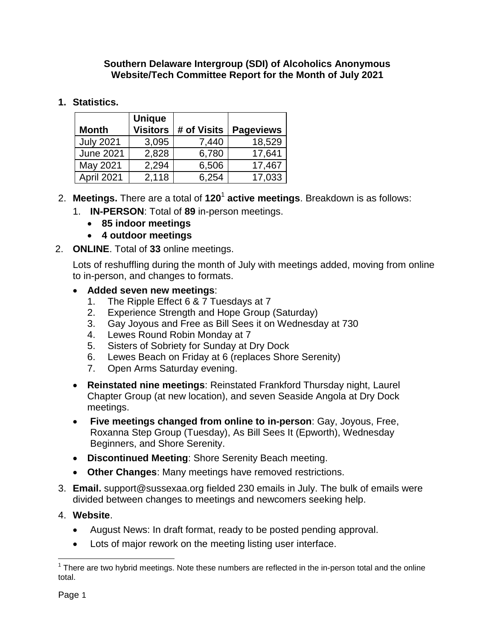### **Southern Delaware Intergroup (SDI) of Alcoholics Anonymous Website/Tech Committee Report for the Month of July 2021**

# **1. Statistics.**

| <b>Month</b>     | <b>Unique</b><br><b>Visitors</b> | # of Visits | <b>Pageviews</b> |
|------------------|----------------------------------|-------------|------------------|
| <b>July 2021</b> | 3,095                            | 7,440       | 18,529           |
| <b>June 2021</b> | 2,828                            | 6,780       | 17,641           |
| May 2021         | 2,294                            | 6,506       | 17,467           |
| April 2021       | 2,118                            | 6,254       | 17,033           |

# 2. **Meetings.** There are a total of **120**<sup>1</sup> **active meetings**. Breakdown is as follows:

- 1. **IN-PERSON**: Total of **89** in-person meetings.
	- **85 indoor meetings**
	- **4 outdoor meetings**
- 2. **ONLINE**. Total of **33** online meetings.

Lots of reshuffling during the month of July with meetings added, moving from online to in-person, and changes to formats.

### **Added seven new meetings**:

- 1. The Ripple Effect 6 & 7 Tuesdays at 7
- 2. Experience Strength and Hope Group (Saturday)
- 3. Gay Joyous and Free as Bill Sees it on Wednesday at 730
- 4. Lewes Round Robin Monday at 7
- 5. Sisters of Sobriety for Sunday at Dry Dock
- 6. Lewes Beach on Friday at 6 (replaces Shore Serenity)
- 7. Open Arms Saturday evening.
- **Reinstated nine meetings**: Reinstated Frankford Thursday night, Laurel Chapter Group (at new location), and seven Seaside Angola at Dry Dock meetings.
- **Five meetings changed from online to in-person**: Gay, Joyous, Free, Roxanna Step Group (Tuesday), As Bill Sees It (Epworth), Wednesday Beginners, and Shore Serenity.
- **Discontinued Meeting**: Shore Serenity Beach meeting.
- **Other Changes**: Many meetings have removed restrictions.
- 3. **Email.** support@sussexaa.org fielded 230 emails in July. The bulk of emails were divided between changes to meetings and newcomers seeking help.

# 4. **Website**.

- August News: In draft format, ready to be posted pending approval.
- Lots of major rework on the meeting listing user interface.

<sup>————————————————————&</sup>lt;br><sup>1</sup> There are two hybrid meetings. Note these numbers are reflected in the in-person total and the online total.